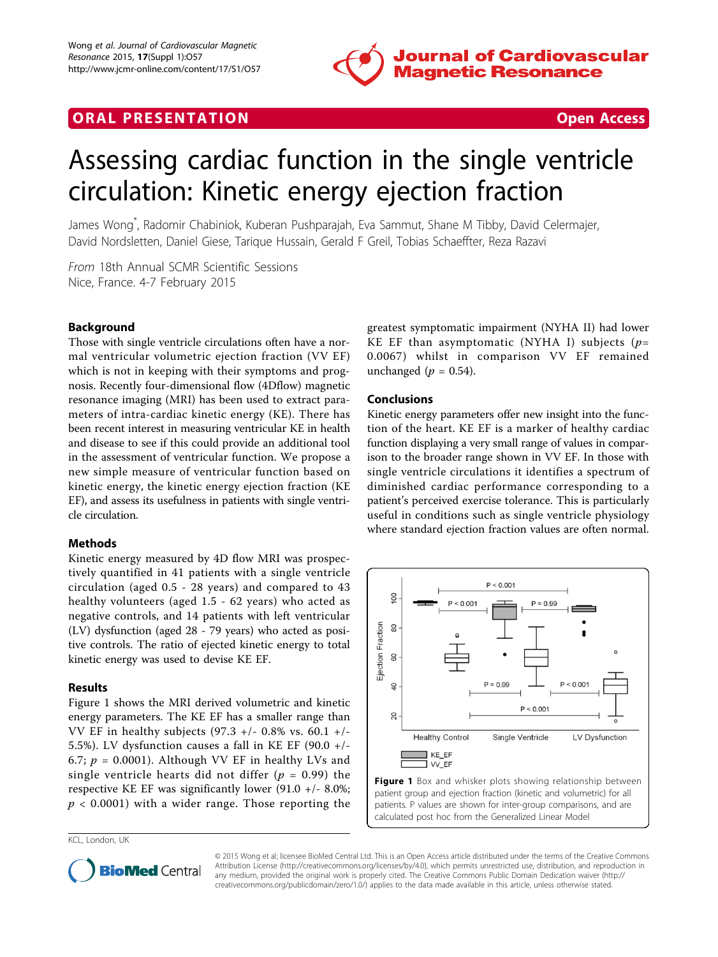

# **ORAL PRESENTATION CONSUMING ACCESS**



# Assessing cardiac function in the single ventricle circulation: Kinetic energy ejection fraction

James Wong\* , Radomir Chabiniok, Kuberan Pushparajah, Eva Sammut, Shane M Tibby, David Celermajer, David Nordsletten, Daniel Giese, Tarique Hussain, Gerald F Greil, Tobias Schaeffter, Reza Razavi

From 18th Annual SCMR Scientific Sessions Nice, France. 4-7 February 2015

## Background

Those with single ventricle circulations often have a normal ventricular volumetric ejection fraction (VV EF) which is not in keeping with their symptoms and prognosis. Recently four-dimensional flow (4Dflow) magnetic resonance imaging (MRI) has been used to extract parameters of intra-cardiac kinetic energy (KE). There has been recent interest in measuring ventricular KE in health and disease to see if this could provide an additional tool in the assessment of ventricular function. We propose a new simple measure of ventricular function based on kinetic energy, the kinetic energy ejection fraction (KE EF), and assess its usefulness in patients with single ventricle circulation.

### Methods

Kinetic energy measured by 4D flow MRI was prospectively quantified in 41 patients with a single ventricle circulation (aged 0.5 - 28 years) and compared to 43 healthy volunteers (aged 1.5 - 62 years) who acted as negative controls, and 14 patients with left ventricular (LV) dysfunction (aged 28 - 79 years) who acted as positive controls. The ratio of ejected kinetic energy to total kinetic energy was used to devise KE EF.

### Results

Figure 1 shows the MRI derived volumetric and kinetic energy parameters. The KE EF has a smaller range than VV EF in healthy subjects (97.3 +/- 0.8% vs. 60.1 +/- 5.5%). LV dysfunction causes a fall in KE EF (90.0  $+/-$ 6.7;  $p = 0.0001$ ). Although VV EF in healthy LVs and single ventricle hearts did not differ ( $p = 0.99$ ) the respective KE EF was significantly lower (91.0 +/- 8.0%;  $p < 0.0001$ ) with a wider range. Those reporting the

KCL, London, UK

greatest symptomatic impairment (NYHA II) had lower KE EF than asymptomatic (NYHA I) subjects ( $p=$ 0.0067) whilst in comparison VV EF remained unchanged ( $p = 0.54$ ).

### Conclusions

Kinetic energy parameters offer new insight into the function of the heart. KE EF is a marker of healthy cardiac function displaying a very small range of values in comparison to the broader range shown in VV EF. In those with single ventricle circulations it identifies a spectrum of diminished cardiac performance corresponding to a patient's perceived exercise tolerance. This is particularly useful in conditions such as single ventricle physiology where standard ejection fraction values are often normal.



Figure 1 Box and whisker plots showing relationship between patient group and ejection fraction (kinetic and volumetric) for all patients. P values are shown for inter-group comparisons, and are calculated post hoc from the Generalized Linear Model



© 2015 Wong et al; licensee BioMed Central Ltd. This is an Open Access article distributed under the terms of the Creative Commons Attribution License [\(http://creativecommons.org/licenses/by/4.0](http://creativecommons.org/licenses/by/4.0)), which permits unrestricted use, distribution, and reproduction in any medium, provided the original work is properly cited. The Creative Commons Public Domain Dedication waiver [\(http://](http://creativecommons.org/publicdomain/zero/1.0/) [creativecommons.org/publicdomain/zero/1.0/](http://creativecommons.org/publicdomain/zero/1.0/)) applies to the data made available in this article, unless otherwise stated.